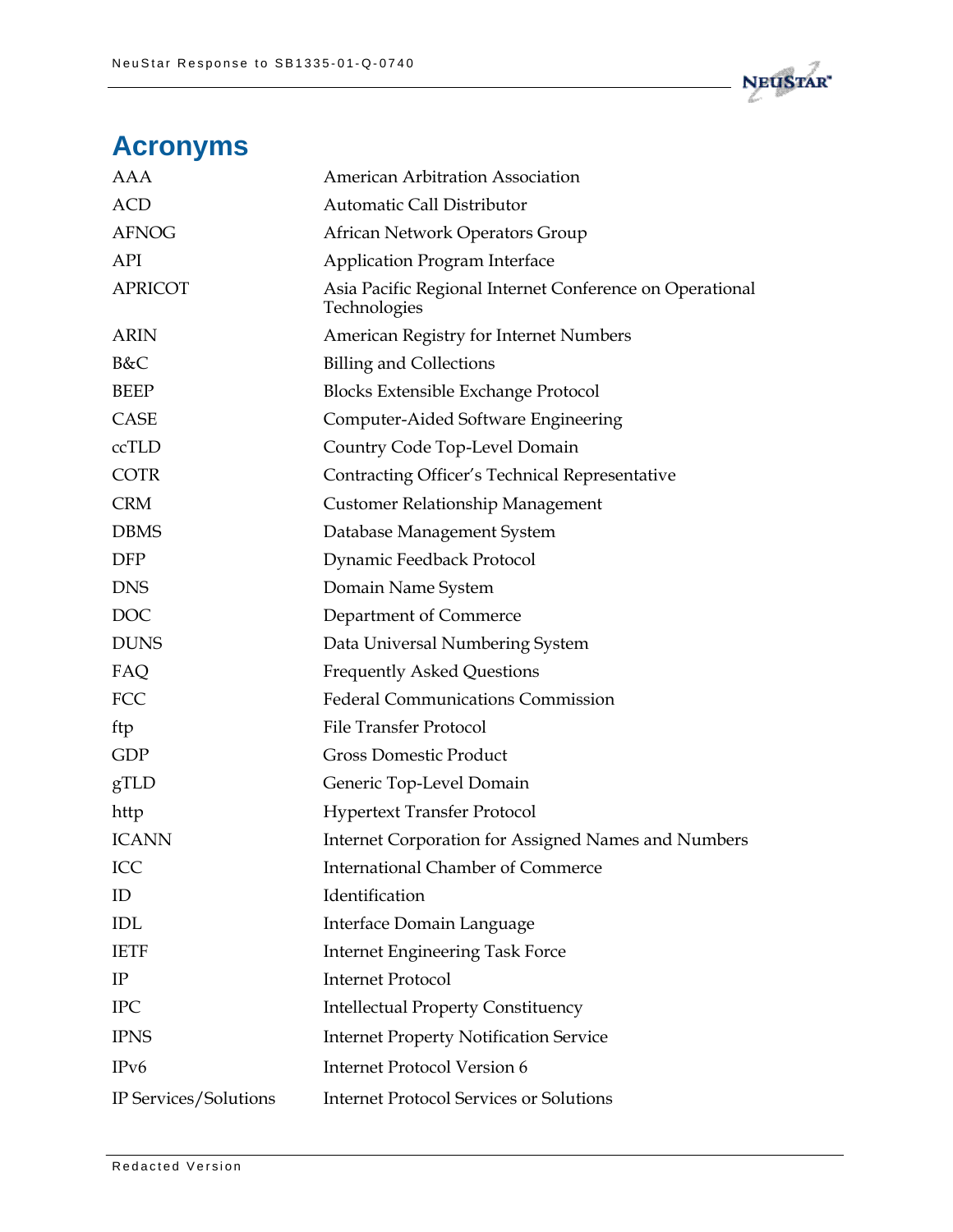

## **Acronyms**

| AAA                   | American Arbitration Association                                         |
|-----------------------|--------------------------------------------------------------------------|
| <b>ACD</b>            | Automatic Call Distributor                                               |
| <b>AFNOG</b>          | African Network Operators Group                                          |
| API                   | <b>Application Program Interface</b>                                     |
| <b>APRICOT</b>        | Asia Pacific Regional Internet Conference on Operational<br>Technologies |
| <b>ARIN</b>           | American Registry for Internet Numbers                                   |
| B&C                   | <b>Billing and Collections</b>                                           |
| <b>BEEP</b>           | <b>Blocks Extensible Exchange Protocol</b>                               |
| CASE                  | Computer-Aided Software Engineering                                      |
| ccTLD                 | Country Code Top-Level Domain                                            |
| <b>COTR</b>           | Contracting Officer's Technical Representative                           |
| <b>CRM</b>            | Customer Relationship Management                                         |
| <b>DBMS</b>           | Database Management System                                               |
| <b>DFP</b>            | Dynamic Feedback Protocol                                                |
| <b>DNS</b>            | Domain Name System                                                       |
| <b>DOC</b>            | Department of Commerce                                                   |
| <b>DUNS</b>           | Data Universal Numbering System                                          |
| FAQ                   | <b>Frequently Asked Questions</b>                                        |
| FCC                   | <b>Federal Communications Commission</b>                                 |
| ftp                   | <b>File Transfer Protocol</b>                                            |
| <b>GDP</b>            | <b>Gross Domestic Product</b>                                            |
| gTLD                  | Generic Top-Level Domain                                                 |
| http                  | <b>Hypertext Transfer Protocol</b>                                       |
| <b>ICANN</b>          | Internet Corporation for Assigned Names and Numbers                      |
| ICC                   | <b>International Chamber of Commerce</b>                                 |
| ID                    | Identification                                                           |
| <b>IDL</b>            | Interface Domain Language                                                |
| <b>IETF</b>           | <b>Internet Engineering Task Force</b>                                   |
| IP                    | <b>Internet Protocol</b>                                                 |
| <b>IPC</b>            | <b>Intellectual Property Constituency</b>                                |
| <b>IPNS</b>           | <b>Internet Property Notification Service</b>                            |
| IP <sub>v</sub> 6     | <b>Internet Protocol Version 6</b>                                       |
| IP Services/Solutions | <b>Internet Protocol Services or Solutions</b>                           |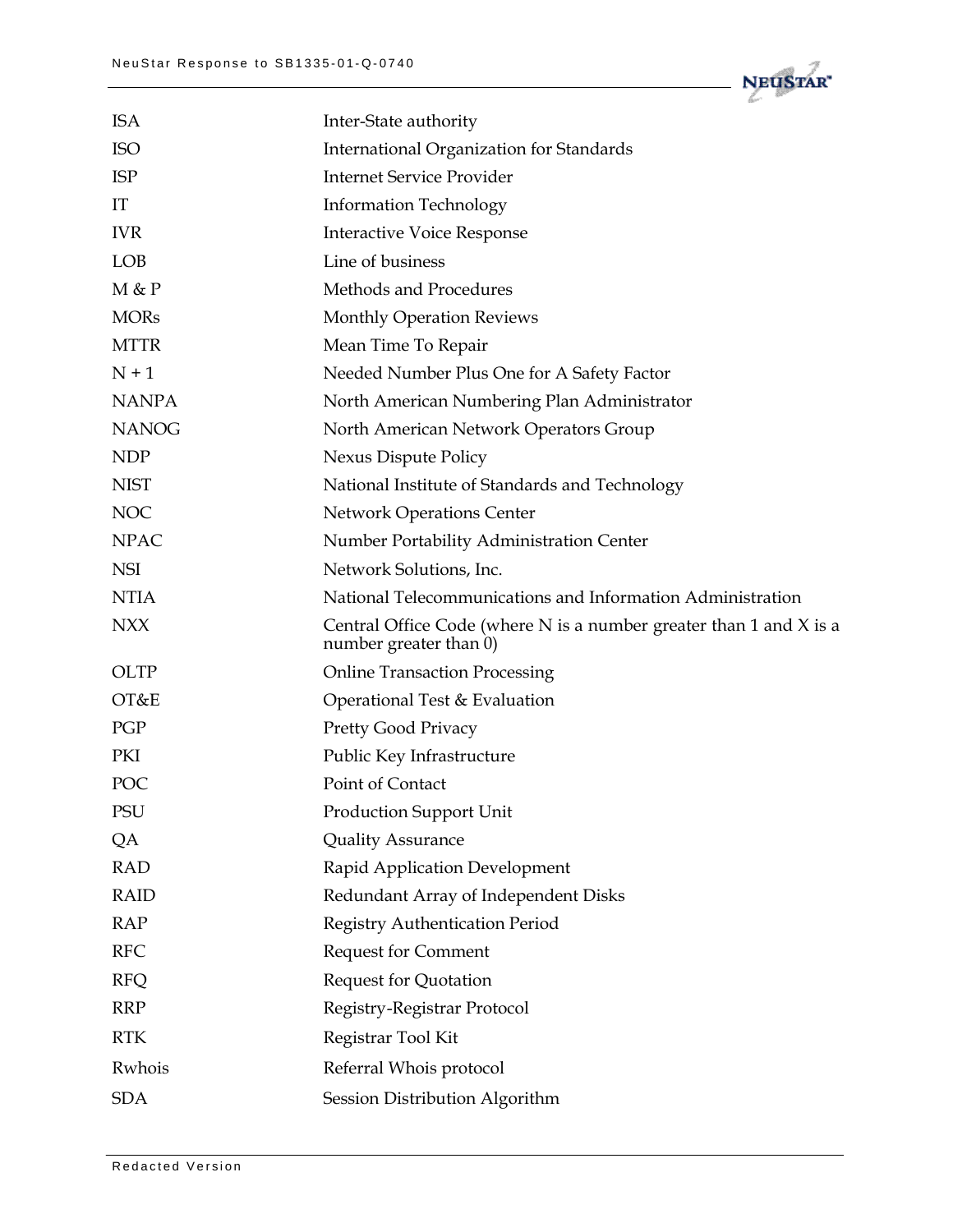

| Inter-State authority                                                                          |
|------------------------------------------------------------------------------------------------|
| <b>International Organization for Standards</b>                                                |
| <b>Internet Service Provider</b>                                                               |
| <b>Information Technology</b>                                                                  |
| <b>Interactive Voice Response</b>                                                              |
| Line of business                                                                               |
| Methods and Procedures                                                                         |
| <b>Monthly Operation Reviews</b>                                                               |
| Mean Time To Repair                                                                            |
| Needed Number Plus One for A Safety Factor                                                     |
| North American Numbering Plan Administrator                                                    |
| North American Network Operators Group                                                         |
| Nexus Dispute Policy                                                                           |
| National Institute of Standards and Technology                                                 |
| <b>Network Operations Center</b>                                                               |
| Number Portability Administration Center                                                       |
| Network Solutions, Inc.                                                                        |
| National Telecommunications and Information Administration                                     |
| Central Office Code (where N is a number greater than 1 and $X$ is a<br>number greater than 0) |
| <b>Online Transaction Processing</b>                                                           |
| Operational Test & Evaluation                                                                  |
| Pretty Good Privacy                                                                            |
| Public Key Infrastructure                                                                      |
| Point of Contact                                                                               |
| <b>Production Support Unit</b>                                                                 |
| <b>Quality Assurance</b>                                                                       |
| Rapid Application Development                                                                  |
| Redundant Array of Independent Disks                                                           |
| Registry Authentication Period                                                                 |
| <b>Request for Comment</b>                                                                     |
|                                                                                                |
| <b>Request for Quotation</b>                                                                   |
| Registry-Registrar Protocol                                                                    |
| Registrar Tool Kit                                                                             |
| Referral Whois protocol                                                                        |
|                                                                                                |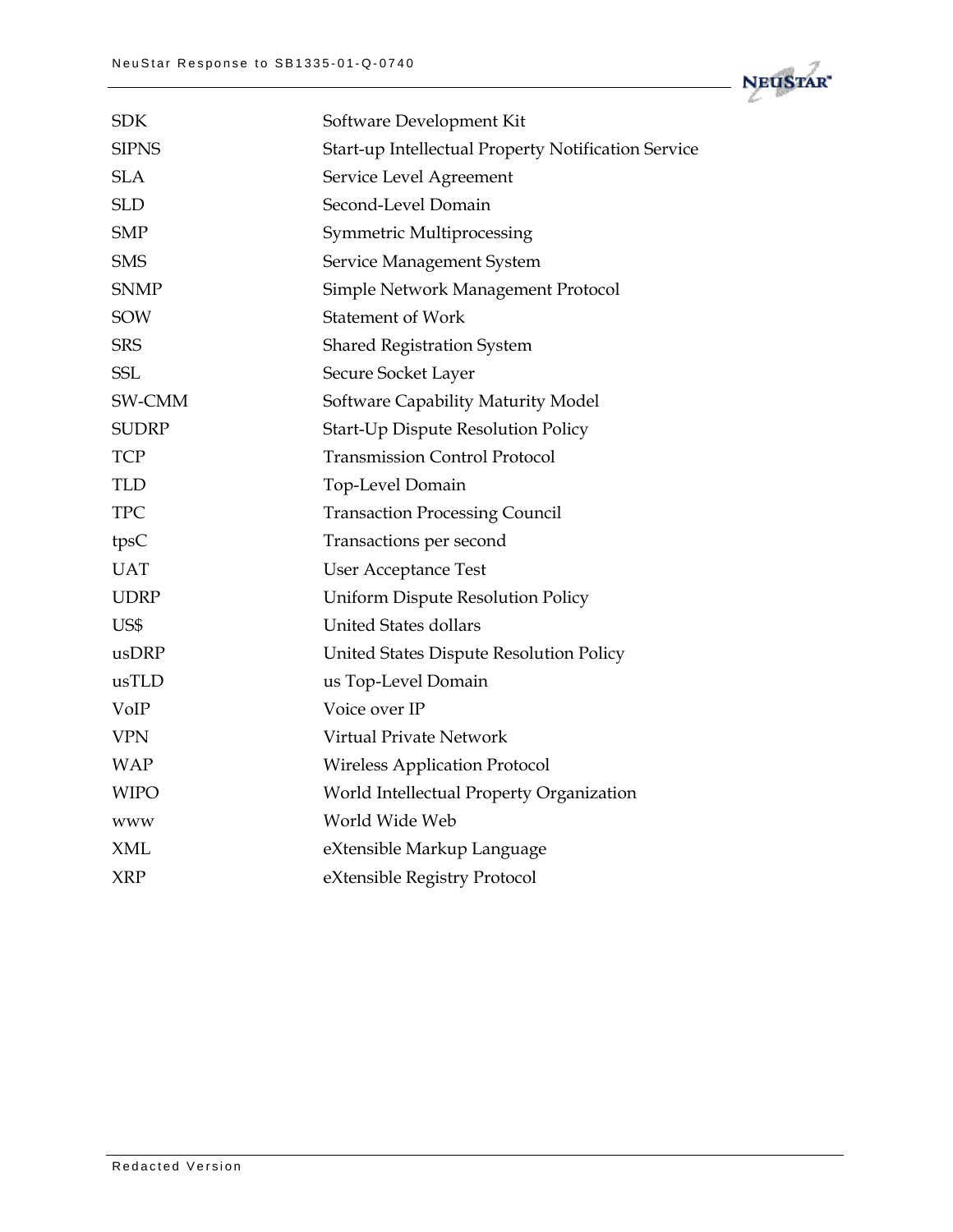

| <b>SDK</b>   | Software Development Kit                            |
|--------------|-----------------------------------------------------|
| <b>SIPNS</b> | Start-up Intellectual Property Notification Service |
| <b>SLA</b>   | Service Level Agreement                             |
| <b>SLD</b>   | Second-Level Domain                                 |
| <b>SMP</b>   | Symmetric Multiprocessing                           |
| <b>SMS</b>   | Service Management System                           |
| <b>SNMP</b>  | Simple Network Management Protocol                  |
| <b>SOW</b>   | <b>Statement of Work</b>                            |
| <b>SRS</b>   | <b>Shared Registration System</b>                   |
| <b>SSL</b>   | Secure Socket Layer                                 |
| SW-CMM       | Software Capability Maturity Model                  |
| <b>SUDRP</b> | Start-Up Dispute Resolution Policy                  |
| <b>TCP</b>   | <b>Transmission Control Protocol</b>                |
| <b>TLD</b>   | Top-Level Domain                                    |
| <b>TPC</b>   | <b>Transaction Processing Council</b>               |
| tpsC         | Transactions per second                             |
| <b>UAT</b>   | <b>User Acceptance Test</b>                         |
| <b>UDRP</b>  | Uniform Dispute Resolution Policy                   |
| US\$         | <b>United States dollars</b>                        |
| usDRP        | United States Dispute Resolution Policy             |
| usTLD        | us Top-Level Domain                                 |
| VoIP         | Voice over IP                                       |
| <b>VPN</b>   | Virtual Private Network                             |
| <b>WAP</b>   | <b>Wireless Application Protocol</b>                |
| <b>WIPO</b>  | World Intellectual Property Organization            |
| <b>WWW</b>   | World Wide Web                                      |
| <b>XML</b>   | eXtensible Markup Language                          |
| <b>XRP</b>   | eXtensible Registry Protocol                        |
|              |                                                     |